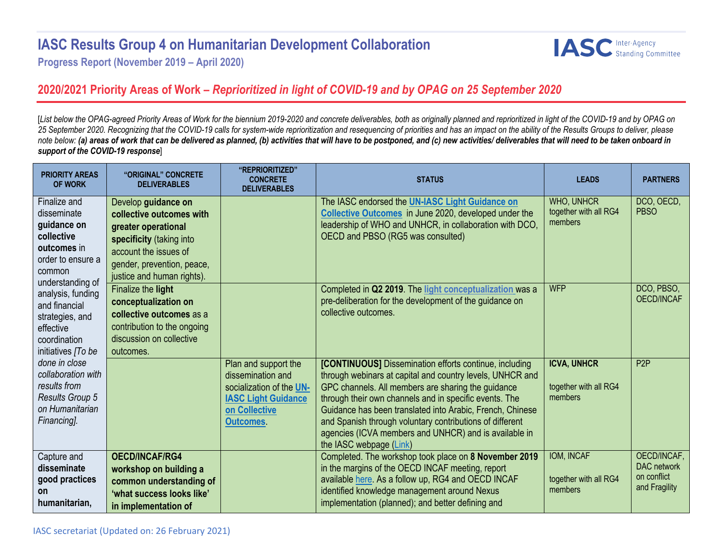## **IASC Results Group 4 on Humanitarian Development Collaboration**



**Progress Report (November 2019 – April 2020)**

## **2020/2021 Priority Areas of Work –** *Reprioritized in light of COVID-19 and by OPAG on 25 September 2020*

[*List below the OPAG-agreed Priority Areas of Work for the biennium 2019-2020 and concrete deliverables, both as originally planned and reprioritized in light of the COVID-19 and by OPAG on 25 September 2020. Recognizing that the COVID-19 calls for system-wide reprioritization and resequencing of priorities and has an impact on the ability of the Results Groups to deliver, please note below: (a) areas of work that can be delivered as planned, (b) activities that will have to be postponed, and (c) new activities/ deliverables that will need to be taken onboard in support of the COVID-19 response*]

| <b>PRIORITY AREAS</b><br><b>OF WORK</b>                                                                                      | "ORIGINAL" CONCRETE<br><b>DELIVERABLES</b>                                                                                                                                              | "REPRIORITIZED"<br><b>CONCRETE</b><br><b>DELIVERABLES</b>                                                                               | <b>STATUS</b>                                                                                                                                                                                                                                                                                                                                                                                                                                           | <b>LEADS</b>                                           | <b>PARTNERS</b>                                            |
|------------------------------------------------------------------------------------------------------------------------------|-----------------------------------------------------------------------------------------------------------------------------------------------------------------------------------------|-----------------------------------------------------------------------------------------------------------------------------------------|---------------------------------------------------------------------------------------------------------------------------------------------------------------------------------------------------------------------------------------------------------------------------------------------------------------------------------------------------------------------------------------------------------------------------------------------------------|--------------------------------------------------------|------------------------------------------------------------|
| Finalize and<br>disseminate<br>guidance on<br>collective<br>outcomes in<br>order to ensure a<br>common                       | Develop guidance on<br>collective outcomes with<br>greater operational<br>specificity (taking into<br>account the issues of<br>gender, prevention, peace,<br>justice and human rights). |                                                                                                                                         | The IASC endorsed the UN-IASC Light Guidance on<br>Collective Outcomes in June 2020, developed under the<br>leadership of WHO and UNHCR, in collaboration with DCO,<br>OECD and PBSO (RG5 was consulted)                                                                                                                                                                                                                                                | <b>WHO, UNHCR</b><br>together with all RG4<br>members  | DCO, OECD,<br><b>PBSO</b>                                  |
| understanding of<br>analysis, funding<br>and financial<br>strategies, and<br>effective<br>coordination<br>initiatives [To be | Finalize the light<br>conceptualization on<br>collective outcomes as a<br>contribution to the ongoing<br>discussion on collective<br>outcomes.                                          |                                                                                                                                         | Completed in Q2 2019. The light conceptualization was a<br>pre-deliberation for the development of the guidance on<br>collective outcomes.                                                                                                                                                                                                                                                                                                              | <b>WFP</b>                                             | DCO, PBSO,<br>OECD/INCAF                                   |
| done in close<br>collaboration with<br>results from<br><b>Results Group 5</b><br>on Humanitarian<br>Financing].              |                                                                                                                                                                                         | Plan and support the<br>dissemination and<br>socialization of the UN-<br><b>IASC Light Guidance</b><br>on Collective<br><b>Outcomes</b> | <b>[CONTINUOUS]</b> Dissemination efforts continue, including<br>through webinars at capital and country levels, UNHCR and<br>GPC channels. All members are sharing the guidance<br>through their own channels and in specific events. The<br>Guidance has been translated into Arabic, French, Chinese<br>and Spanish through voluntary contributions of different<br>agencies (ICVA members and UNHCR) and is available in<br>the IASC webpage (Link) | <b>ICVA, UNHCR</b><br>together with all RG4<br>members | P <sub>2P</sub>                                            |
| Capture and<br>disseminate<br>good practices<br>on<br>humanitarian,                                                          | <b>OECD/INCAF/RG4</b><br>workshop on building a<br>common understanding of<br>'what success looks like'<br>in implementation of                                                         |                                                                                                                                         | Completed. The workshop took place on 8 November 2019<br>in the margins of the OECD INCAF meeting, report<br>available here. As a follow up, RG4 and OECD INCAF<br>identified knowledge management around Nexus<br>implementation (planned); and better defining and                                                                                                                                                                                    | IOM, INCAF<br>together with all RG4<br>members         | OECD/INCAF,<br>DAC network<br>on conflict<br>and Fragility |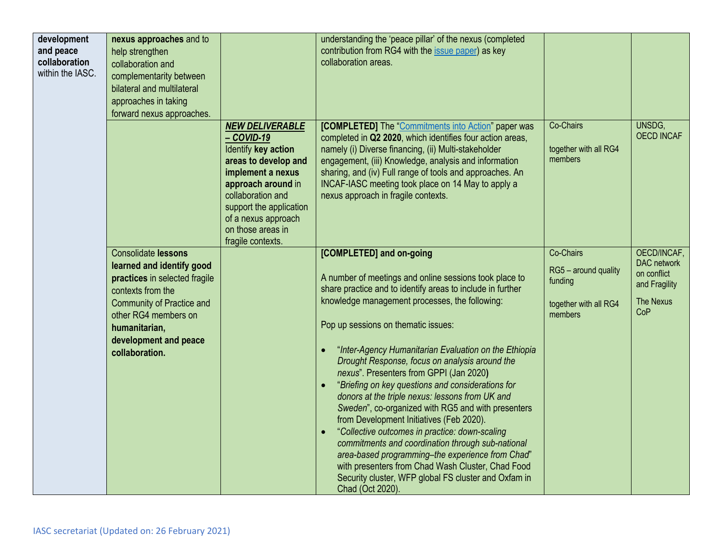| development<br>and peace<br>collaboration<br>within the IASC. | nexus approaches and to<br>help strengthen<br>collaboration and<br>complementarity between<br>bilateral and multilateral<br>approaches in taking<br>forward nexus approaches.                                                         |                                                                                                                                                                                                                                                 | understanding the 'peace pillar' of the nexus (completed<br>contribution from RG4 with the issue paper) as key<br>collaboration areas.                                                                                                                                                                                                                                                                                                                                                                                                                                                                                                                                                                                                                                                                                                                                                                |                                                                                  |                                                                                       |
|---------------------------------------------------------------|---------------------------------------------------------------------------------------------------------------------------------------------------------------------------------------------------------------------------------------|-------------------------------------------------------------------------------------------------------------------------------------------------------------------------------------------------------------------------------------------------|-------------------------------------------------------------------------------------------------------------------------------------------------------------------------------------------------------------------------------------------------------------------------------------------------------------------------------------------------------------------------------------------------------------------------------------------------------------------------------------------------------------------------------------------------------------------------------------------------------------------------------------------------------------------------------------------------------------------------------------------------------------------------------------------------------------------------------------------------------------------------------------------------------|----------------------------------------------------------------------------------|---------------------------------------------------------------------------------------|
|                                                               |                                                                                                                                                                                                                                       | <b>NEW DELIVERABLE</b><br>- COVID-19<br>Identify key action<br>areas to develop and<br>implement a nexus<br>approach around in<br>collaboration and<br>support the application<br>of a nexus approach<br>on those areas in<br>fragile contexts. | <b>[COMPLETED]</b> The "Commitments into Action" paper was<br>completed in Q2 2020, which identifies four action areas,<br>namely (i) Diverse financing, (ii) Multi-stakeholder<br>engagement, (iii) Knowledge, analysis and information<br>sharing, and (iv) Full range of tools and approaches. An<br>INCAF-IASC meeting took place on 14 May to apply a<br>nexus approach in fragile contexts.                                                                                                                                                                                                                                                                                                                                                                                                                                                                                                     | Co-Chairs<br>together with all RG4<br>members                                    | UNSDG,<br><b>OECD INCAF</b>                                                           |
|                                                               | <b>Consolidate lessons</b><br>learned and identify good<br>practices in selected fragile<br>contexts from the<br><b>Community of Practice and</b><br>other RG4 members on<br>humanitarian,<br>development and peace<br>collaboration. |                                                                                                                                                                                                                                                 | [COMPLETED] and on-going<br>A number of meetings and online sessions took place to<br>share practice and to identify areas to include in further<br>knowledge management processes, the following:<br>Pop up sessions on thematic issues:<br>"Inter-Agency Humanitarian Evaluation on the Ethiopia<br>Drought Response, focus on analysis around the<br>nexus". Presenters from GPPI (Jan 2020)<br>"Briefing on key questions and considerations for<br>donors at the triple nexus: lessons from UK and<br>Sweden", co-organized with RG5 and with presenters<br>from Development Initiatives (Feb 2020).<br>"Collective outcomes in practice: down-scaling<br>commitments and coordination through sub-national<br>area-based programming-the experience from Chad"<br>with presenters from Chad Wash Cluster, Chad Food<br>Security cluster, WFP global FS cluster and Oxfam in<br>Chad (Oct 2020). | Co-Chairs<br>RG5 - around quality<br>funding<br>together with all RG4<br>members | OECD/INCAF,<br>DAC network<br>on conflict<br>and Fragility<br><b>The Nexus</b><br>CoP |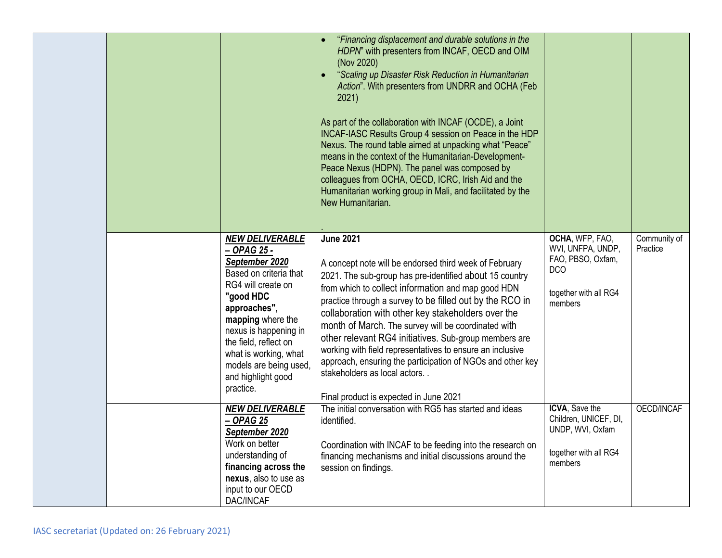|  |                                                                                                                                                                                                                                                                                                   | "Financing displacement and durable solutions in the<br>HDPN" with presenters from INCAF, OECD and OIM<br>(Nov 2020)<br>"Scaling up Disaster Risk Reduction in Humanitarian<br>Action". With presenters from UNDRR and OCHA (Feb<br>2021)<br>As part of the collaboration with INCAF (OCDE), a Joint<br>INCAF-IASC Results Group 4 session on Peace in the HDP<br>Nexus. The round table aimed at unpacking what "Peace"<br>means in the context of the Humanitarian-Development-<br>Peace Nexus (HDPN). The panel was composed by<br>colleagues from OCHA, OECD, ICRC, Irish Aid and the<br>Humanitarian working group in Mali, and facilitated by the<br>New Humanitarian. |                                                                                                             |                          |
|--|---------------------------------------------------------------------------------------------------------------------------------------------------------------------------------------------------------------------------------------------------------------------------------------------------|------------------------------------------------------------------------------------------------------------------------------------------------------------------------------------------------------------------------------------------------------------------------------------------------------------------------------------------------------------------------------------------------------------------------------------------------------------------------------------------------------------------------------------------------------------------------------------------------------------------------------------------------------------------------------|-------------------------------------------------------------------------------------------------------------|--------------------------|
|  | <b>NEW DELIVERABLE</b><br>- OPAG 25 -<br>September 2020<br>Based on criteria that<br>RG4 will create on<br>"good HDC<br>approaches",<br>mapping where the<br>nexus is happening in<br>the field, reflect on<br>what is working, what<br>models are being used,<br>and highlight good<br>practice. | <b>June 2021</b><br>A concept note will be endorsed third week of February<br>2021. The sub-group has pre-identified about 15 country<br>from which to collect information and map good HDN<br>practice through a survey to be filled out by the RCO in<br>collaboration with other key stakeholders over the<br>month of March. The survey will be coordinated with<br>other relevant RG4 initiatives. Sub-group members are<br>working with field representatives to ensure an inclusive<br>approach, ensuring the participation of NGOs and other key<br>stakeholders as local actors<br>Final product is expected in June 2021                                           | OCHA, WFP, FAO,<br>WVI, UNFPA, UNDP,<br>FAO, PBSO, Oxfam,<br><b>DCO</b><br>together with all RG4<br>members | Community of<br>Practice |
|  | <b>NEW DELIVERABLE</b><br>$-$ OPAG 25<br>September 2020<br>Work on better<br>understanding of<br>financing across the<br>nexus, also to use as<br>input to our OECD<br>DAC/INCAF                                                                                                                  | The initial conversation with RG5 has started and ideas<br>identified.<br>Coordination with INCAF to be feeding into the research on<br>financing mechanisms and initial discussions around the<br>session on findings.                                                                                                                                                                                                                                                                                                                                                                                                                                                      | <b>ICVA, Save the</b><br>Children, UNICEF, DI,<br>UNDP, WVI, Oxfam<br>together with all RG4<br>members      | OECD/INCAF               |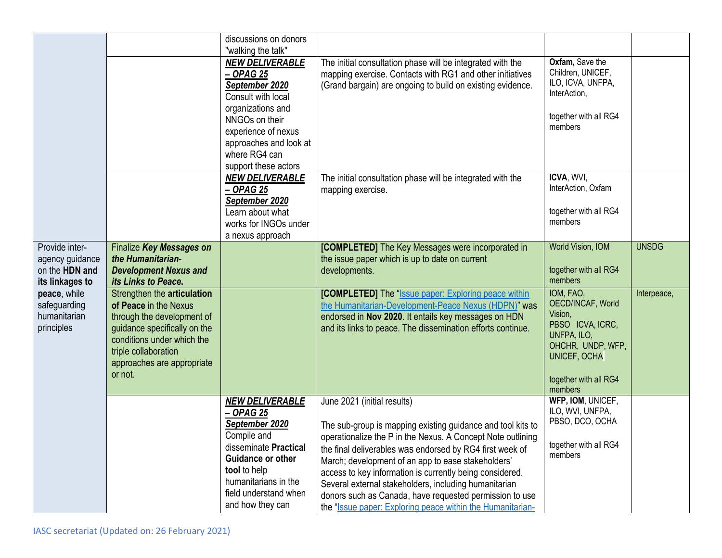|                                                                        |                                                                                                                                                                                                                   | discussions on donors<br>"walking the talk"                                                                                                                                                                    |                                                                                                                                                                                                                                                                                                                                                                                                                                                                                                                           |                                                                                                                                                       |              |
|------------------------------------------------------------------------|-------------------------------------------------------------------------------------------------------------------------------------------------------------------------------------------------------------------|----------------------------------------------------------------------------------------------------------------------------------------------------------------------------------------------------------------|---------------------------------------------------------------------------------------------------------------------------------------------------------------------------------------------------------------------------------------------------------------------------------------------------------------------------------------------------------------------------------------------------------------------------------------------------------------------------------------------------------------------------|-------------------------------------------------------------------------------------------------------------------------------------------------------|--------------|
|                                                                        |                                                                                                                                                                                                                   | <b>NEW DELIVERABLE</b><br>- OPAG 25<br>September 2020<br>Consult with local<br>organizations and<br>NNGOs on their<br>experience of nexus<br>approaches and look at<br>where RG4 can<br>support these actors   | The initial consultation phase will be integrated with the<br>mapping exercise. Contacts with RG1 and other initiatives<br>(Grand bargain) are ongoing to build on existing evidence.                                                                                                                                                                                                                                                                                                                                     | Oxfam, Save the<br>Children, UNICEF,<br>ILO, ICVA, UNFPA,<br>InterAction,<br>together with all RG4<br>members                                         |              |
|                                                                        |                                                                                                                                                                                                                   | <b>NEW DELIVERABLE</b><br>- OPAG 25<br>September 2020<br>Learn about what<br>works for INGOs under<br>a nexus approach                                                                                         | The initial consultation phase will be integrated with the<br>mapping exercise.                                                                                                                                                                                                                                                                                                                                                                                                                                           | ICVA, WVI,<br>InterAction, Oxfam<br>together with all RG4<br>members                                                                                  |              |
| Provide inter-<br>agency guidance<br>on the HDN and<br>its linkages to | Finalize Key Messages on<br>the Humanitarian-<br><b>Development Nexus and</b><br>its Links to Peace.                                                                                                              |                                                                                                                                                                                                                | [COMPLETED] The Key Messages were incorporated in<br>the issue paper which is up to date on current<br>developments.                                                                                                                                                                                                                                                                                                                                                                                                      | World Vision, IOM<br>together with all RG4<br>members                                                                                                 | <b>UNSDG</b> |
| peace, while<br>safeguarding<br>humanitarian<br>principles             | Strengthen the articulation<br>of Peace in the Nexus<br>through the development of<br>guidance specifically on the<br>conditions under which the<br>triple collaboration<br>approaches are appropriate<br>or not. |                                                                                                                                                                                                                | [COMPLETED] The "Issue paper: Exploring peace within<br>the Humanitarian-Development-Peace Nexus (HDPN)" was<br>endorsed in Nov 2020. It entails key messages on HDN<br>and its links to peace. The dissemination efforts continue.                                                                                                                                                                                                                                                                                       | IOM, FAO,<br>OECD/INCAF, World<br>Vision,<br>PBSO ICVA, ICRC,<br>UNFPA, ILO,<br>OHCHR, UNDP, WFP,<br>UNICEF, OCHA<br>together with all RG4<br>members | Interpeace,  |
|                                                                        |                                                                                                                                                                                                                   | <b>NEW DELIVERABLE</b><br>- OPAG 25<br>September 2020<br>Compile and<br>disseminate Practical<br><b>Guidance or other</b><br>tool to help<br>humanitarians in the<br>field understand when<br>and how they can | June 2021 (initial results)<br>The sub-group is mapping existing guidance and tool kits to<br>operationalize the P in the Nexus. A Concept Note outlining<br>the final deliverables was endorsed by RG4 first week of<br>March; development of an app to ease stakeholders'<br>access to key information is currently being considered.<br>Several external stakeholders, including humanitarian<br>donors such as Canada, have requested permission to use<br>the "Issue paper: Exploring peace within the Humanitarian- | WFP, IOM, UNICEF,<br>ILO, WVI, UNFPA,<br>PBSO, DCO, OCHA<br>together with all RG4<br>members                                                          |              |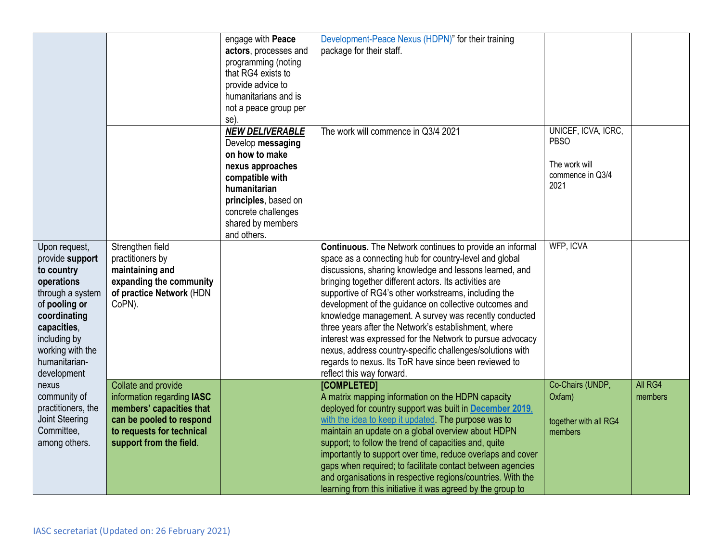|                                                                                                                                                                                                      |                                                                                                                                                                   | engage with Peace<br>actors, processes and<br>programming (noting<br>that RG4 exists to<br>provide advice to<br>humanitarians and is<br>not a peace group per<br>se)                                    | Development-Peace Nexus (HDPN)" for their training<br>package for their staff.                                                                                                                                                                                                                                                                                                                                                                                                                                                                                                                                                                                                                    |                                                                                 |                    |
|------------------------------------------------------------------------------------------------------------------------------------------------------------------------------------------------------|-------------------------------------------------------------------------------------------------------------------------------------------------------------------|---------------------------------------------------------------------------------------------------------------------------------------------------------------------------------------------------------|---------------------------------------------------------------------------------------------------------------------------------------------------------------------------------------------------------------------------------------------------------------------------------------------------------------------------------------------------------------------------------------------------------------------------------------------------------------------------------------------------------------------------------------------------------------------------------------------------------------------------------------------------------------------------------------------------|---------------------------------------------------------------------------------|--------------------|
|                                                                                                                                                                                                      |                                                                                                                                                                   | <b>NEW DELIVERABLE</b><br>Develop messaging<br>on how to make<br>nexus approaches<br>compatible with<br>humanitarian<br>principles, based on<br>concrete challenges<br>shared by members<br>and others. | The work will commence in Q3/4 2021                                                                                                                                                                                                                                                                                                                                                                                                                                                                                                                                                                                                                                                               | UNICEF, ICVA, ICRC,<br><b>PBSO</b><br>The work will<br>commence in Q3/4<br>2021 |                    |
| Upon request,<br>provide support<br>to country<br>operations<br>through a system<br>of pooling or<br>coordinating<br>capacities,<br>including by<br>working with the<br>humanitarian-<br>development | Strengthen field<br>practitioners by<br>maintaining and<br>expanding the community<br>of practice Network (HDN<br>CoPN).                                          |                                                                                                                                                                                                         | <b>Continuous.</b> The Network continues to provide an informal<br>space as a connecting hub for country-level and global<br>discussions, sharing knowledge and lessons learned, and<br>bringing together different actors. Its activities are<br>supportive of RG4's other workstreams, including the<br>development of the guidance on collective outcomes and<br>knowledge management. A survey was recently conducted<br>three years after the Network's establishment, where<br>interest was expressed for the Network to pursue advocacy<br>nexus, address country-specific challenges/solutions with<br>regards to nexus. Its ToR have since been reviewed to<br>reflect this way forward. | <b>WFP, ICVA</b>                                                                |                    |
| nexus<br>community of<br>practitioners, the<br><b>Joint Steering</b><br>Committee,<br>among others.                                                                                                  | Collate and provide<br>information regarding IASC<br>members' capacities that<br>can be pooled to respond<br>to requests for technical<br>support from the field. |                                                                                                                                                                                                         | [COMPLETED]<br>A matrix mapping information on the HDPN capacity<br>deployed for country support was built in December 2019,<br>with the idea to keep it updated. The purpose was to<br>maintain an update on a global overview about HDPN<br>support; to follow the trend of capacities and, quite<br>importantly to support over time, reduce overlaps and cover<br>gaps when required; to facilitate contact between agencies<br>and organisations in respective regions/countries. With the<br>learning from this initiative it was agreed by the group to                                                                                                                                    | Co-Chairs (UNDP,<br>Oxfam)<br>together with all RG4<br>members                  | All RG4<br>members |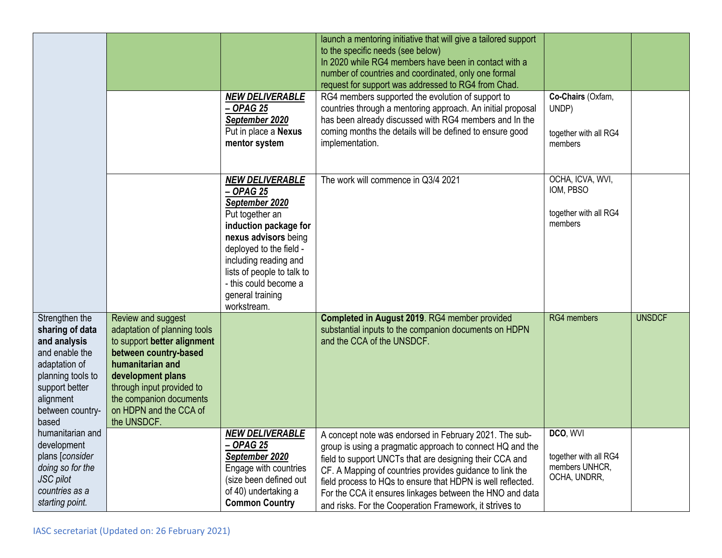|                                                                                                |                                                         | launch a mentoring initiative that will give a tailored support<br>to the specific needs (see below)<br>In 2020 while RG4 members have been in contact with a<br>number of countries and coordinated, only one formal<br>request for support was addressed to RG4 from Chad. |                                         |               |
|------------------------------------------------------------------------------------------------|---------------------------------------------------------|------------------------------------------------------------------------------------------------------------------------------------------------------------------------------------------------------------------------------------------------------------------------------|-----------------------------------------|---------------|
|                                                                                                | <b>NEW DELIVERABLE</b><br>$-$ OPAG 25                   | RG4 members supported the evolution of support to<br>countries through a mentoring approach. An initial proposal                                                                                                                                                             | Co-Chairs (Oxfam,<br>UNDP)              |               |
|                                                                                                | September 2020<br>Put in place a Nexus                  | has been already discussed with RG4 members and In the<br>coming months the details will be defined to ensure good                                                                                                                                                           |                                         |               |
|                                                                                                | mentor system                                           | implementation.                                                                                                                                                                                                                                                              | together with all RG4<br>members        |               |
|                                                                                                |                                                         |                                                                                                                                                                                                                                                                              |                                         |               |
|                                                                                                | <b>NEW DELIVERABLE</b><br>$-$ OPAG 25<br>September 2020 | The work will commence in Q3/4 2021                                                                                                                                                                                                                                          | OCHA, ICVA, WVI,<br>IOM, PBSO           |               |
|                                                                                                | Put together an<br>induction package for                |                                                                                                                                                                                                                                                                              | together with all RG4<br>members        |               |
|                                                                                                | nexus advisors being                                    |                                                                                                                                                                                                                                                                              |                                         |               |
|                                                                                                | deployed to the field -<br>including reading and        |                                                                                                                                                                                                                                                                              |                                         |               |
|                                                                                                | lists of people to talk to                              |                                                                                                                                                                                                                                                                              |                                         |               |
|                                                                                                | - this could become a                                   |                                                                                                                                                                                                                                                                              |                                         |               |
|                                                                                                | general training<br>workstream.                         |                                                                                                                                                                                                                                                                              |                                         |               |
| Strengthen the<br>Review and suggest                                                           |                                                         | Completed in August 2019. RG4 member provided                                                                                                                                                                                                                                | RG4 members                             | <b>UNSDCF</b> |
| adaptation of planning tools<br>sharing of data<br>to support better alignment<br>and analysis |                                                         | substantial inputs to the companion documents on HDPN<br>and the CCA of the UNSDCF.                                                                                                                                                                                          |                                         |               |
| and enable the<br>between country-based                                                        |                                                         |                                                                                                                                                                                                                                                                              |                                         |               |
| humanitarian and<br>adaptation of<br>planning tools to<br>development plans                    |                                                         |                                                                                                                                                                                                                                                                              |                                         |               |
| support better<br>through input provided to                                                    |                                                         |                                                                                                                                                                                                                                                                              |                                         |               |
| the companion documents<br>alignment<br>on HDPN and the CCA of<br>between country-             |                                                         |                                                                                                                                                                                                                                                                              |                                         |               |
| the UNSDCF.<br>based                                                                           |                                                         |                                                                                                                                                                                                                                                                              |                                         |               |
| humanitarian and                                                                               | <b>NEW DELIVERABLE</b>                                  | A concept note was endorsed in February 2021. The sub-                                                                                                                                                                                                                       | DCO, WVI                                |               |
| development<br>plans [consider                                                                 |                                                         |                                                                                                                                                                                                                                                                              |                                         |               |
| doing so for the                                                                               | <u>– OPAG 25</u>                                        | group is using a pragmatic approach to connect HQ and the                                                                                                                                                                                                                    |                                         |               |
|                                                                                                | September 2020<br>Engage with countries                 | field to support UNCTs that are designing their CCA and<br>CF. A Mapping of countries provides guidance to link the                                                                                                                                                          | together with all RG4<br>members UNHCR, |               |
| JSC pilot<br>countries as a                                                                    | (size been defined out<br>of 40) undertaking a          | field process to HQs to ensure that HDPN is well reflected.<br>For the CCA it ensures linkages between the HNO and data                                                                                                                                                      | OCHA, UNDRR,                            |               |